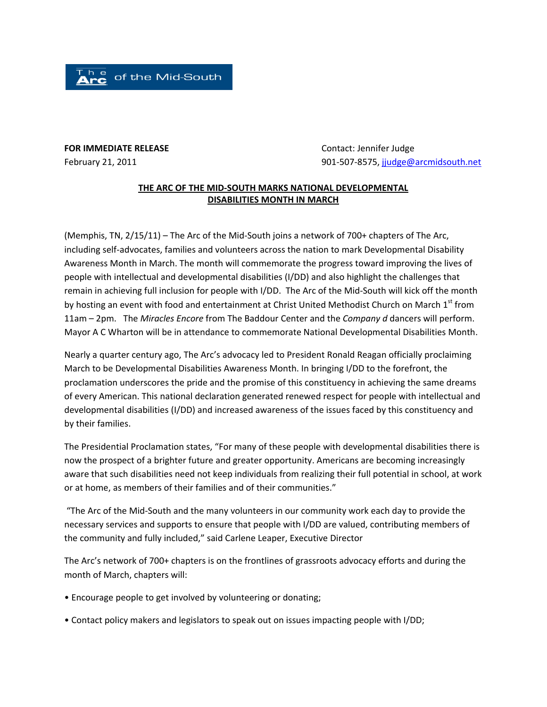of the Mid-South

## **FOR IMMEDIATE RELEASE**  Contact: Jennifer Judge

February 21, 2011 901‐507‐8575, jjudge@arcmidsouth.net

## **THE ARC OF THE MID‐SOUTH MARKS NATIONAL DEVELOPMENTAL DISABILITIES MONTH IN MARCH**

(Memphis, TN, 2/15/11) – The Arc of the Mid‐South joins a network of 700+ chapters of The Arc, including self‐advocates, families and volunteers across the nation to mark Developmental Disability Awareness Month in March. The month will commemorate the progress toward improving the lives of people with intellectual and developmental disabilities (I/DD) and also highlight the challenges that remain in achieving full inclusion for people with I/DD. The Arc of the Mid‐South will kick off the month by hosting an event with food and entertainment at Christ United Methodist Church on March 1<sup>st</sup> from 11am – 2pm. The *Miracles Encore* from The Baddour Center and the *Company d* dancers will perform. Mayor A C Wharton will be in attendance to commemorate National Developmental Disabilities Month.

Nearly a quarter century ago, The Arc's advocacy led to President Ronald Reagan officially proclaiming March to be Developmental Disabilities Awareness Month. In bringing I/DD to the forefront, the proclamation underscores the pride and the promise of this constituency in achieving the same dreams of every American. This national declaration generated renewed respect for people with intellectual and developmental disabilities (I/DD) and increased awareness of the issues faced by this constituency and by their families.

The Presidential Proclamation states, "For many of these people with developmental disabilities there is now the prospect of a brighter future and greater opportunity. Americans are becoming increasingly aware that such disabilities need not keep individuals from realizing their full potential in school, at work or at home, as members of their families and of their communities."

"The Arc of the Mid‐South and the many volunteers in our community work each day to provide the necessary services and supports to ensure that people with I/DD are valued, contributing members of the community and fully included," said Carlene Leaper, Executive Director

The Arc's network of 700+ chapters is on the frontlines of grassroots advocacy efforts and during the month of March, chapters will:

- Encourage people to get involved by volunteering or donating;
- Contact policy makers and legislators to speak out on issues impacting people with I/DD;